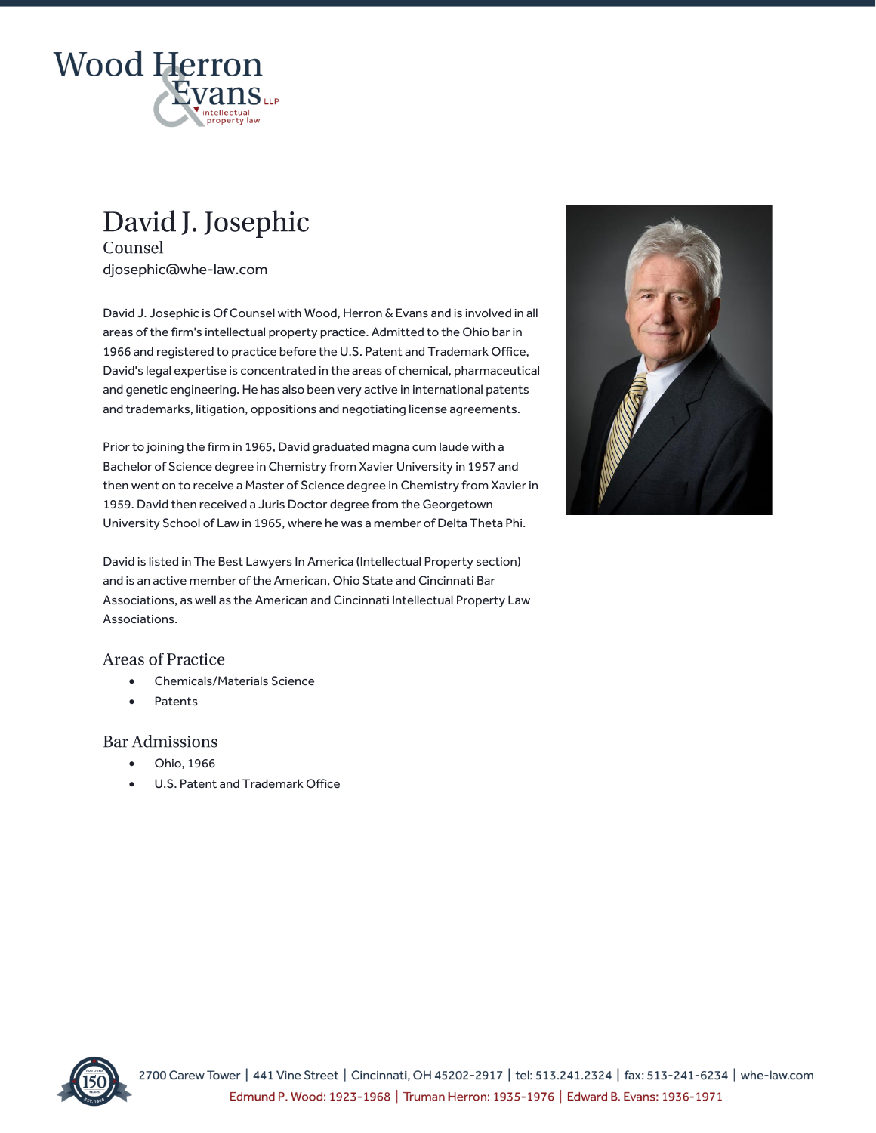

# David J. Josephic

Counsel djosephic@whe-law.com

David J. Josephic is Of Counsel with Wood, Herron & Evans and is involved in all areas of the firm's intellectual property practice. Admitted to the Ohio bar in 1966 and registered to practice before the U.S. Patent and Trademark Office, David's legal expertise is concentrated in the areas of chemical, pharmaceutical and genetic engineering. He has also been very active in international patents and trademarks, litigation, oppositions and negotiating license agreements.

Prior to joining the firm in 1965, David graduated magna cum laude with a Bachelor of Science degree in Chemistry from Xavier University in 1957 and then went on to receive a Master of Science degree in Chemistry from Xavier in 1959. David then received a Juris Doctor degree from the Georgetown University School of Law in 1965, where he was a member of Delta Theta Phi.

David is listed in The Best Lawyers In America (Intellectual Property section) and is an active member of the American, Ohio State and Cincinnati Bar Associations, as well as the American and Cincinnati Intellectual Property Law Associations.

#### **Areas of Practice**

- Chemicals/Materials Science
- **Patents**

#### **Bar Admissions**

- Ohio, 1966
- U.S. Patent and Trademark Office